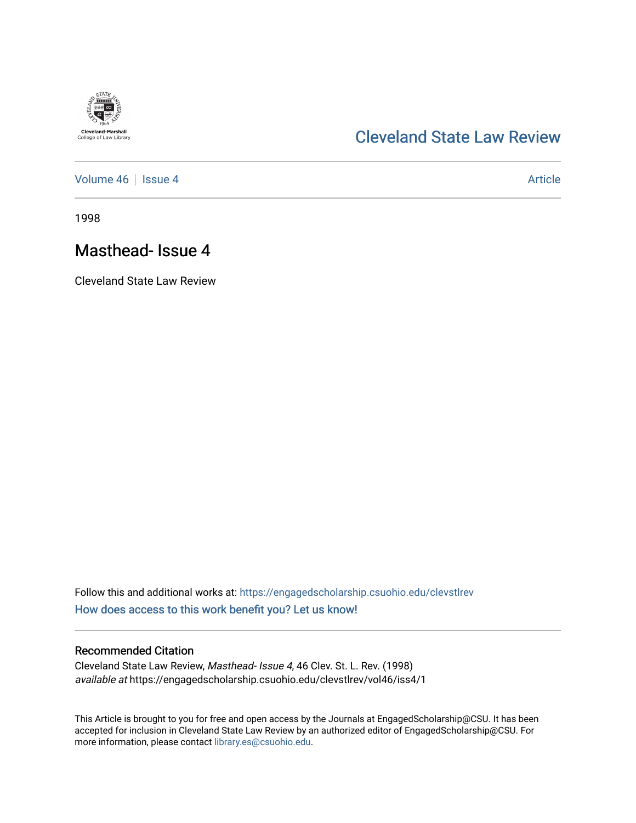

## [Cleveland State Law Review](https://engagedscholarship.csuohio.edu/clevstlrev)

[Volume 46](https://engagedscholarship.csuohio.edu/clevstlrev/vol46) | [Issue 4](https://engagedscholarship.csuohio.edu/clevstlrev/vol46/iss4) Article

1998

# Masthead- Issue 4

Cleveland State Law Review

Follow this and additional works at: [https://engagedscholarship.csuohio.edu/clevstlrev](https://engagedscholarship.csuohio.edu/clevstlrev?utm_source=engagedscholarship.csuohio.edu%2Fclevstlrev%2Fvol46%2Fiss4%2F1&utm_medium=PDF&utm_campaign=PDFCoverPages) [How does access to this work benefit you? Let us know!](http://library.csuohio.edu/engaged/)

## Recommended Citation

Cleveland State Law Review, Masthead- Issue 4, 46 Clev. St. L. Rev. (1998) available at https://engagedscholarship.csuohio.edu/clevstlrev/vol46/iss4/1

This Article is brought to you for free and open access by the Journals at EngagedScholarship@CSU. It has been accepted for inclusion in Cleveland State Law Review by an authorized editor of EngagedScholarship@CSU. For more information, please contact [library.es@csuohio.edu](mailto:library.es@csuohio.edu).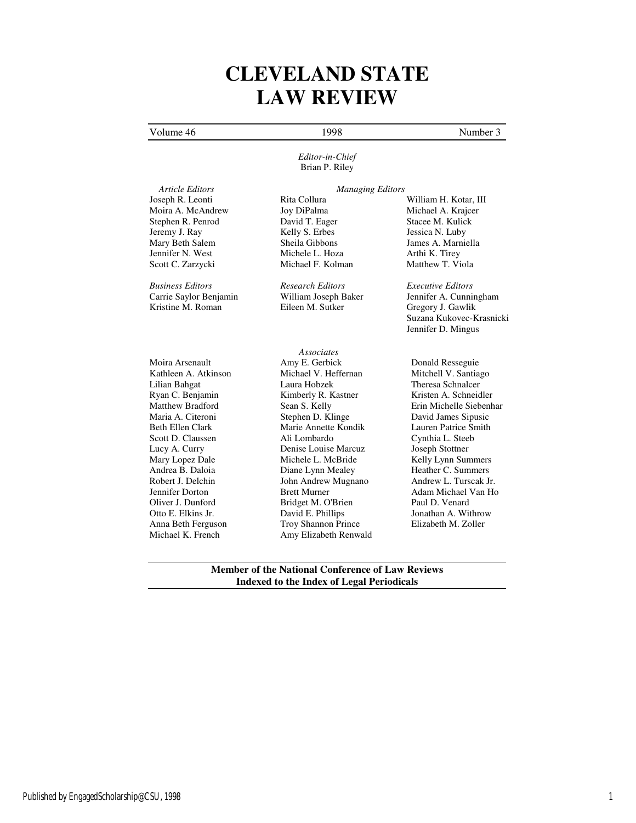# **CLEVELAND STATE LAW REVIEW**

## Volume 46 1998 Number 3

 *Article Editors Managing Editors* Joseph R. Leonti Rita Collura William H. Kotar, III Moira A. McAndrew Joy DiPalma Michael A. Krajcer Stephen R. Penrod David T. Eager Stacee M. Kulick Jeremy J. Ray Kelly S. Erbes Jessica N. Luby Mary Beth Salem Sheila Gibbons James A. Marniella<br>
Jennifer N. West Michele L. Hoza Arthi K. Tirev Jennifer N. West Michele L. Hoza Arthi K. Tirey

Moira Arsenault Kathleen A. Atkinson Lilian Bahgat Ryan C. Benjamin Matthew Bradford Maria A. Citeroni Beth Ellen Clark Scott D. Claussen Lucy A. Curry Mary Lopez Dale Andrea B. Daloia Robert J. Delchin Jennifer Dorton Oliver J. Dunford Otto E. Elkins Jr. Anna Beth Ferguson Michael K. French

### *Editor-in-Chief* Brian P. Riley

*Business Editors Research Editors Executive Editors*

Michael F. Kolman

*Associates*  Amy E. Gerbick Michael V. Heffernan Laura Hobzek Kimberly R. Kastner Sean S. Kelly Stephen D. Klinge Marie Annette Kondik Ali Lombardo Denise Louise Marcuz Michele L. McBride Diane Lynn Mealey John Andrew Mugnano Brett Murner Bridget M. O'Brien David E. Phillips Troy Shannon Prince Amy Elizabeth Renwald

Carrie Saylor Benjamin William Joseph Baker Jennifer A. Cunningham Gregory J. Gawlik Suzana Kukovec-Krasnicki Jennifer D. Mingus

> Donald Resseguie Mitchell V. Santiago Theresa Schnalcer Kristen A. Schneidler Erin Michelle Siebenhar David James Sipusic Lauren Patrice Smith Cynthia L. Steeb Joseph Stottner Kelly Lynn Summers Heather C. Summers Andrew L. Turscak Jr. Adam Michael Van Ho Paul D. Venard Jonathan A. Withrow Elizabeth M. Zoller

**Member of the National Conference of Law Reviews Indexed to the Index of Legal Periodicals**